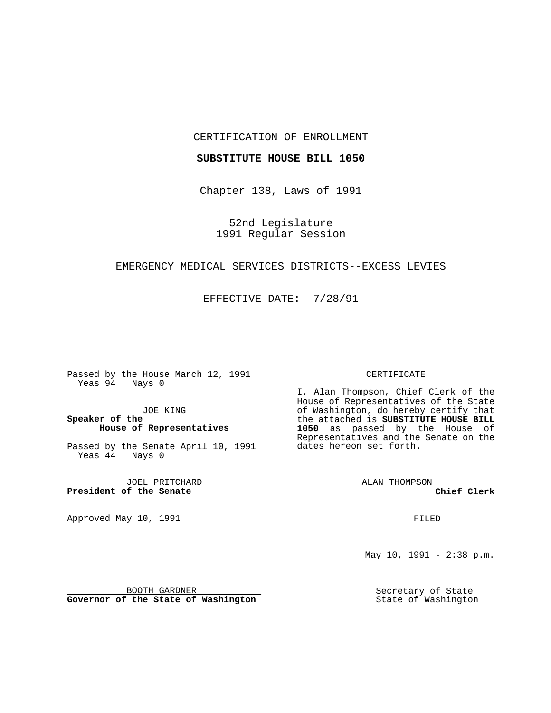### CERTIFICATION OF ENROLLMENT

### **SUBSTITUTE HOUSE BILL 1050**

Chapter 138, Laws of 1991

52nd Legislature 1991 Regular Session

# EMERGENCY MEDICAL SERVICES DISTRICTS--EXCESS LEVIES

EFFECTIVE DATE: 7/28/91

Passed by the House March 12, 1991 Yeas 94 Nays 0

JOE KING

## **Speaker of the House of Representatives**

Passed by the Senate April 10, 1991 Yeas 44 Nays 0

JOEL PRITCHARD **President of the Senate**

Approved May 10, 1991

#### CERTIFICATE

I, Alan Thompson, Chief Clerk of the House of Representatives of the State of Washington, do hereby certify that the attached is **SUBSTITUTE HOUSE BILL 1050** as passed by the House of Representatives and the Senate on the dates hereon set forth.

ALAN THOMPSON

**Chief Clerk**

FILED

May  $10$ ,  $1991 - 2:38$  p.m.

Secretary of State State of Washington

BOOTH GARDNER **Governor of the State of Washington**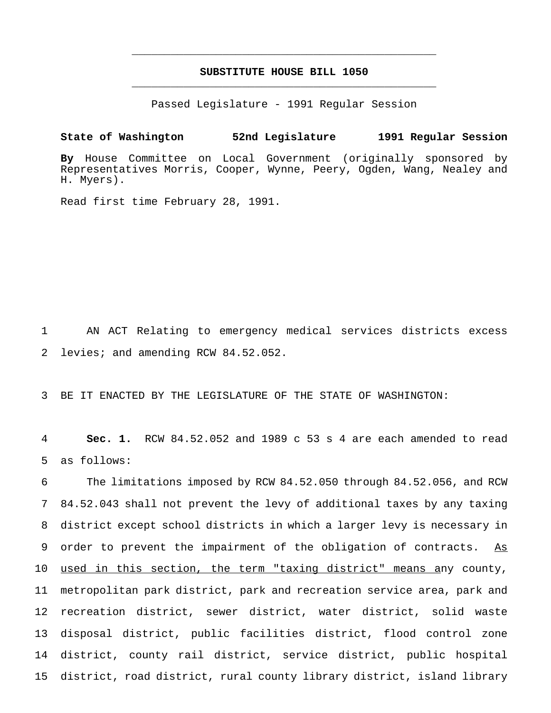# **SUBSTITUTE HOUSE BILL 1050** \_\_\_\_\_\_\_\_\_\_\_\_\_\_\_\_\_\_\_\_\_\_\_\_\_\_\_\_\_\_\_\_\_\_\_\_\_\_\_\_\_\_\_\_\_\_\_

\_\_\_\_\_\_\_\_\_\_\_\_\_\_\_\_\_\_\_\_\_\_\_\_\_\_\_\_\_\_\_\_\_\_\_\_\_\_\_\_\_\_\_\_\_\_\_

Passed Legislature - 1991 Regular Session

**State of Washington 52nd Legislature 1991 Regular Session By** House Committee on Local Government (originally sponsored by Representatives Morris, Cooper, Wynne, Peery, Ogden, Wang, Nealey and H. Myers).

Read first time February 28, 1991.

1 AN ACT Relating to emergency medical services districts excess 2 levies; and amending RCW 84.52.052.

3 BE IT ENACTED BY THE LEGISLATURE OF THE STATE OF WASHINGTON:

4 **Sec. 1.** RCW 84.52.052 and 1989 c 53 s 4 are each amended to read 5 as follows:

 The limitations imposed by RCW 84.52.050 through 84.52.056, and RCW 84.52.043 shall not prevent the levy of additional taxes by any taxing district except school districts in which a larger levy is necessary in 9 order to prevent the impairment of the obligation of contracts. As used in this section, the term "taxing district" means any county, metropolitan park district, park and recreation service area, park and recreation district, sewer district, water district, solid waste disposal district, public facilities district, flood control zone district, county rail district, service district, public hospital district, road district, rural county library district, island library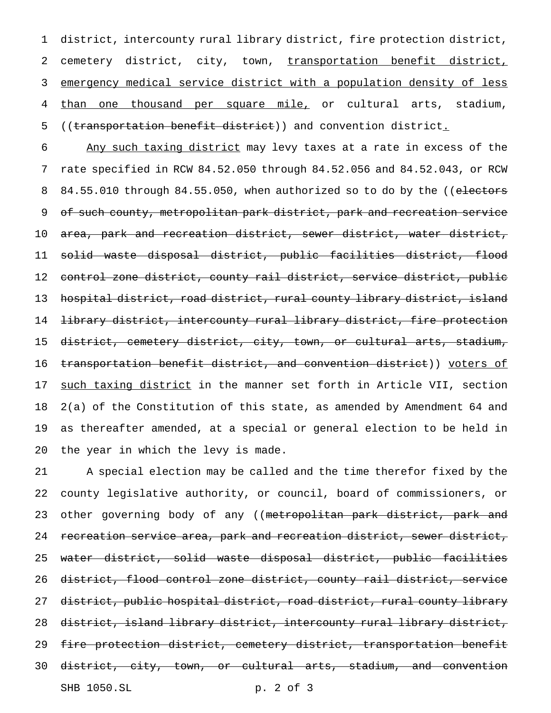district, intercounty rural library district, fire protection district, cemetery district, city, town, transportation benefit district, emergency medical service district with a population density of less 4 than one thousand per square mile, or cultural arts, stadium, 5 ((transportation benefit district)) and convention district.

 Any such taxing district may levy taxes at a rate in excess of the rate specified in RCW 84.52.050 through 84.52.056 and 84.52.043, or RCW 8 84.55.010 through 84.55.050, when authorized so to do by the ((electors of such county, metropolitan park district, park and recreation service area, park and recreation district, sewer district, water district, solid waste disposal district, public facilities district, flood control zone district, county rail district, service district, public hospital district, road district, rural county library district, island library district, intercounty rural library district, fire protection district, cemetery district, city, town, or cultural arts, stadium, 16 transportation benefit district, and convention district)) voters of 17 such taxing district in the manner set forth in Article VII, section 2(a) of the Constitution of this state, as amended by Amendment 64 and as thereafter amended, at a special or general election to be held in the year in which the levy is made.

 A special election may be called and the time therefor fixed by the county legislative authority, or council, board of commissioners, or 23 other governing body of any ((metropolitan park district, park and 24 recreation service area, park and recreation district, sewer district, water district, solid waste disposal district, public facilities district, flood control zone district, county rail district, service district, public hospital district, road district, rural county library district, island library district, intercounty rural library district, fire protection district, cemetery district, transportation benefit district, city, town, or cultural arts, stadium, and convention SHB 1050.SL p. 2 of 3